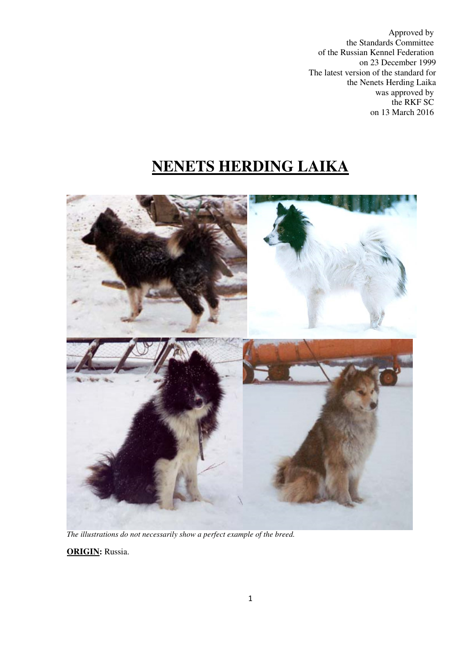Approved by the Standards Committee of the Russian Kennel Federation on 23 December 1999 The latest version of the standard for the Nenets Herding Laika was approved by the RKF SC on 13 March 2016

# **NENETS HERDING LAIKA**



*The illustrations do not necessarily show a perfect example of the breed.* 

**ORIGIN:** Russia.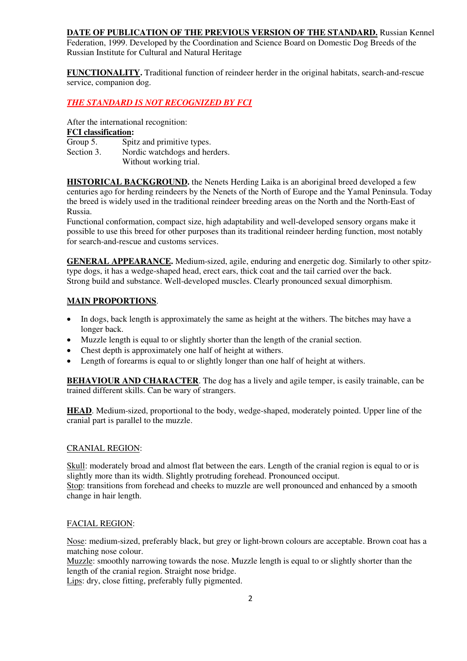#### **DATE OF PUBLICATION OF THE PREVIOUS VERSION OF THE STANDARD.** Russian Kennel

Federation, 1999. Developed by the Coordination and Science Board on Domestic Dog Breeds of the Russian Institute for Cultural and Natural Heritage

**FUNCTIONALITY.** Traditional function of reindeer herder in the original habitats, search-and-rescue service, companion dog.

#### *THE STANDARD IS NOT RECOGNIZED BY FCI*

After the international recognition:

# **FCI classification:**<br>Group 5. Spit

Spitz and primitive types. Section 3. Nordic watchdogs and herders. Without working trial.

**HISTORICAL BACKGROUND.** the Nenets Herding Laika is an aboriginal breed developed a few centuries ago for herding reindeers by the Nenets of the North of Europe and the Yamal Peninsula. Today the breed is widely used in the traditional reindeer breeding areas on the North and the North-East of Russia.

Functional conformation, compact size, high adaptability and well-developed sensory organs make it possible to use this breed for other purposes than its traditional reindeer herding function, most notably for search-and-rescue and customs services.

**GENERAL APPEARANCE.** Medium-sized, agile, enduring and energetic dog. Similarly to other spitztype dogs, it has a wedge-shaped head, erect ears, thick coat and the tail carried over the back. Strong build and substance. Well-developed muscles. Clearly pronounced sexual dimorphism.

# **MAIN PROPORTIONS**.

- In dogs, back length is approximately the same as height at the withers. The bitches may have a longer back.
- Muzzle length is equal to or slightly shorter than the length of the cranial section.
- Chest depth is approximately one half of height at withers.
- Length of forearms is equal to or slightly longer than one half of height at withers.

**BEHAVIOUR AND CHARACTER**. The dog has a lively and agile temper, is easily trainable, can be trained different skills. Can be wary of strangers.

**HEAD**. Medium-sized, proportional to the body, wedge-shaped, moderately pointed. Upper line of the cranial part is parallel to the muzzle.

## CRANIAL REGION:

Skull: moderately broad and almost flat between the ears. Length of the cranial region is equal to or is slightly more than its width. Slightly protruding forehead. Pronounced occiput. Stop: transitions from forehead and cheeks to muzzle are well pronounced and enhanced by a smooth change in hair length.

## FACIAL REGION:

Nose: medium-sized, preferably black, but grey or light-brown colours are acceptable. Brown coat has a matching nose colour.

Muzzle: smoothly narrowing towards the nose. Muzzle length is equal to or slightly shorter than the length of the cranial region. Straight nose bridge.

Lips: dry, close fitting, preferably fully pigmented.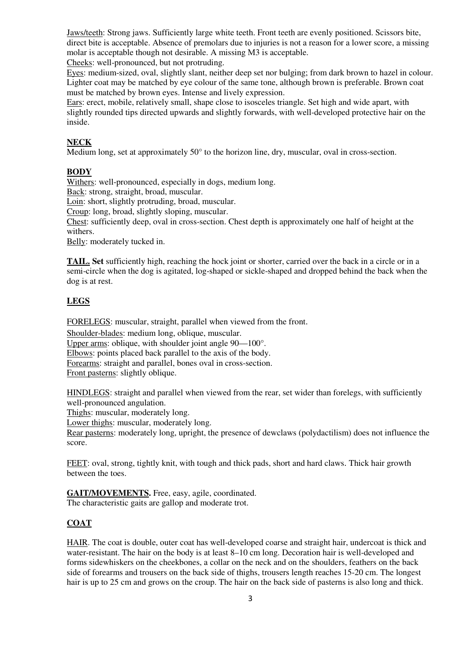Jaws/teeth: Strong jaws. Sufficiently large white teeth. Front teeth are evenly positioned. Scissors bite, direct bite is acceptable. Absence of premolars due to injuries is not a reason for a lower score, a missing molar is acceptable though not desirable. A missing М3 is acceptable.

Cheeks: well-pronounced, but not protruding.

Eyes: medium-sized, oval, slightly slant, neither deep set nor bulging; from dark brown to hazel in colour. Lighter coat may be matched by eye colour of the same tone, although brown is preferable. Brown coat must be matched by brown eyes. Intense and lively expression.

Ears: erect, mobile, relatively small, shape close to isosceles triangle. Set high and wide apart, with slightly rounded tips directed upwards and slightly forwards, with well-developed protective hair on the inside.

#### **NECK**

Medium long, set at approximately 50° to the horizon line, dry, muscular, oval in cross-section.

#### **BODY**

Withers: well-pronounced, especially in dogs, medium long.

Back: strong, straight, broad, muscular.

Loin: short, slightly protruding, broad, muscular.

Croup: long, broad, slightly sloping, muscular.

Chest: sufficiently deep, oval in cross-section. Chest depth is approximately one half of height at the withers.

Belly: moderately tucked in.

**TAIL. Set** sufficiently high, reaching the hock joint or shorter, carried over the back in a circle or in a semi-circle when the dog is agitated, log-shaped or sickle-shaped and dropped behind the back when the dog is at rest.

## **LEGS**

FORELEGS: muscular, straight, parallel when viewed from the front.

Shoulder-blades: medium long, oblique, muscular.

Upper arms: oblique, with shoulder joint angle 90—100°.

Elbows: points placed back parallel to the axis of the body.

Forearms: straight and parallel, bones oval in cross-section.

Front pasterns: slightly oblique.

HINDLEGS: straight and parallel when viewed from the rear, set wider than forelegs, with sufficiently well-pronounced angulation.

Thighs: muscular, moderately long.

Lower thighs: muscular, moderately long.

Rear pasterns: moderately long, upright, the presence of dewclaws (polydactilism) does not influence the score.

FEET: oval, strong, tightly knit, with tough and thick pads, short and hard claws. Thick hair growth between the toes.

GAIT/MOVEMENTS. Free, easy, agile, coordinated.

The characteristic gaits are gallop and moderate trot.

## **COAT**

HAIR. The coat is double, outer coat has well-developed coarse and straight hair, undercoat is thick and water-resistant. The hair on the body is at least 8–10 cm long. Decoration hair is well-developed and forms sidewhiskers on the cheekbones, a collar on the neck and on the shoulders, feathers on the back side of forearms and trousers on the back side of thighs, trousers length reaches 15-20 cm. The longest hair is up to 25 cm and grows on the croup. The hair on the back side of pasterns is also long and thick.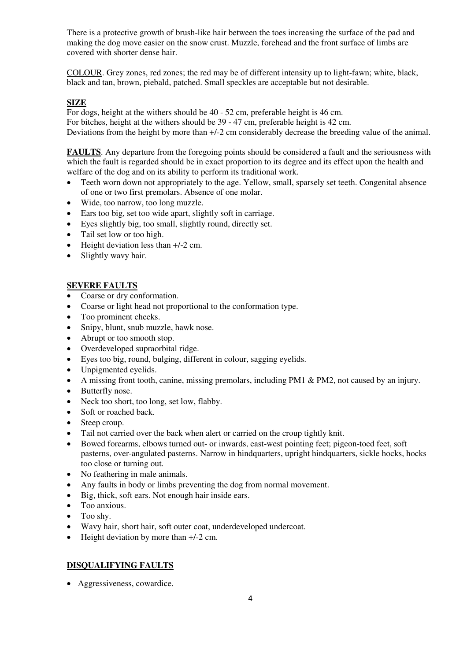There is a protective growth of brush-like hair between the toes increasing the surface of the pad and making the dog move easier on the snow crust. Muzzle, forehead and the front surface of limbs are covered with shorter dense hair.

COLOUR. Grey zones, red zones; the red may be of different intensity up to light-fawn; white, black, black and tan, brown, piebald, patched. Small speckles are acceptable but not desirable.

## **SIZE**

For dogs, height at the withers should be 40 - 52 cm, preferable height is 46 cm.

For bitches, height at the withers should be 39 - 47 cm, preferable height is 42 cm.

Deviations from the height by more than +/-2 cm considerably decrease the breeding value of the animal.

**FAULTS**. Any departure from the foregoing points should be considered a fault and the seriousness with which the fault is regarded should be in exact proportion to its degree and its effect upon the health and welfare of the dog and on its ability to perform its traditional work.

- Teeth worn down not appropriately to the age. Yellow, small, sparsely set teeth. Congenital absence of one or two first premolars. Absence of one molar.
- Wide, too narrow, too long muzzle.
- Ears too big, set too wide apart, slightly soft in carriage.
- Eyes slightly big, too small, slightly round, directly set.
- Tail set low or too high.
- Height deviation less than +/-2 cm.
- Slightly wavy hair.

# **SEVERE FAULTS**

- Coarse or dry conformation.
- Coarse or light head not proportional to the conformation type.
- Too prominent cheeks.
- Snipy, blunt, snub muzzle, hawk nose.
- Abrupt or too smooth stop.
- Overdeveloped supraorbital ridge.
- Eyes too big, round, bulging, different in colour, sagging eyelids.
- Unpigmented eyelids.
- A missing front tooth, canine, missing premolars, including PM1 & PM2, not caused by an injury.
- Butterfly nose.
- Neck too short, too long, set low, flabby.
- Soft or roached back.
- Steep croup.
- Tail not carried over the back when alert or carried on the croup tightly knit.
- Bowed forearms, elbows turned out- or inwards, east-west pointing feet; pigeon-toed feet, soft pasterns, over-angulated pasterns. Narrow in hindquarters, upright hindquarters, sickle hocks, hocks too close or turning out.
- No feathering in male animals.
- Any faults in body or limbs preventing the dog from normal movement.
- Big, thick, soft ears. Not enough hair inside ears.
- Too anxious.
- Too shy.
- Wavy hair, short hair, soft outer coat, underdeveloped undercoat.
- Height deviation by more than  $+/-2$  cm.

# **DISQUALIFYING FAULTS**

• Aggressiveness, cowardice.